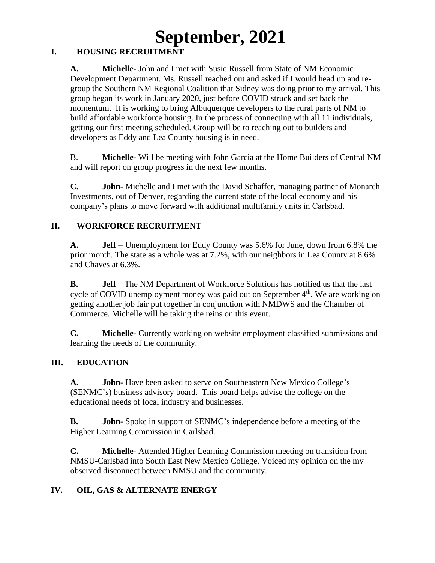# **September, 2021**

## **I. HOUSING RECRUITMENT**

**A. Michelle-** John and I met with Susie Russell from State of NM Economic Development Department. Ms. Russell reached out and asked if I would head up and regroup the Southern NM Regional Coalition that Sidney was doing prior to my arrival. This group began its work in January 2020, just before COVID struck and set back the momentum. It is working to bring Albuquerque developers to the rural parts of NM to build affordable workforce housing. In the process of connecting with all 11 individuals, getting our first meeting scheduled. Group will be to reaching out to builders and developers as Eddy and Lea County housing is in need.

B. **Michelle-** Will be meeting with John Garcia at the Home Builders of Central NM and will report on group progress in the next few months.

**C. John-** Michelle and I met with the David Schaffer, managing partner of Monarch Investments, out of Denver, regarding the current state of the local economy and his company's plans to move forward with additional multifamily units in Carlsbad.

## **II. WORKFORCE RECRUITMENT**

**A. Jeff –** Unemployment for Eddy County was 5.6% for June, down from 6.8% the prior month. The state as a whole was at 7.2%, with our neighbors in Lea County at 8.6% and Chaves at 6.3%.

**B. Jeff –** The NM Department of Workforce Solutions has notified us that the last cycle of COVID unemployment money was paid out on September 4<sup>th</sup>. We are working on getting another job fair put together in conjunction with NMDWS and the Chamber of Commerce. Michelle will be taking the reins on this event.

**C. Michelle-** Currently working on website employment classified submissions and learning the needs of the community.

## **III. EDUCATION**

**A. John-** Have been asked to serve on Southeastern New Mexico College's (SENMC's) business advisory board. This board helps advise the college on the educational needs of local industry and businesses.

**B. John-** Spoke in support of SENMC's independence before a meeting of the Higher Learning Commission in Carlsbad.

**C. Michelle**- Attended Higher Learning Commission meeting on transition from NMSU-Carlsbad into South East New Mexico College. Voiced my opinion on the my observed disconnect between NMSU and the community.

## **IV. OIL, GAS & ALTERNATE ENERGY**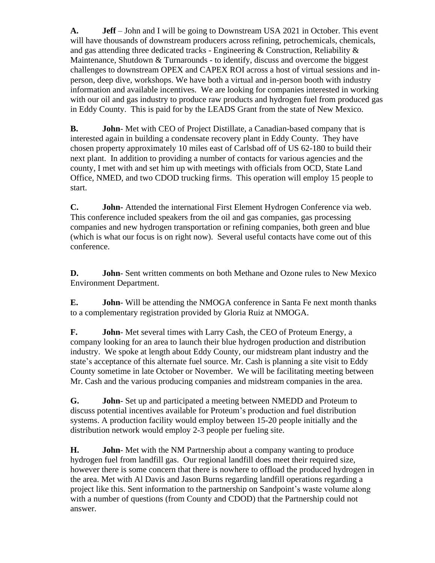**A. Jeff** – John and I will be going to Downstream USA 2021 in October. This event will have thousands of downstream producers across refining, petrochemicals, chemicals, and gas attending three dedicated tracks - Engineering & Construction, Reliability & Maintenance, Shutdown & Turnarounds - to identify, discuss and overcome the biggest challenges to downstream OPEX and CAPEX ROI across a host of virtual sessions and inperson, deep dive, workshops. We have both a virtual and in-person booth with industry information and available incentives. We are looking for companies interested in working with our oil and gas industry to produce raw products and hydrogen fuel from produced gas in Eddy County. This is paid for by the LEADS Grant from the state of New Mexico.

**B. John**- Met with CEO of Project Distillate, a Canadian-based company that is interested again in building a condensate recovery plant in Eddy County. They have chosen property approximately 10 miles east of Carlsbad off of US 62-180 to build their next plant. In addition to providing a number of contacts for various agencies and the county, I met with and set him up with meetings with officials from OCD, State Land Office, NMED, and two CDOD trucking firms. This operation will employ 15 people to start.

**C. John-** Attended the international First Element Hydrogen Conference via web. This conference included speakers from the oil and gas companies, gas processing companies and new hydrogen transportation or refining companies, both green and blue (which is what our focus is on right now). Several useful contacts have come out of this conference.

**D. John**- Sent written comments on both Methane and Ozone rules to New Mexico Environment Department.

**E. John**- Will be attending the NMOGA conference in Santa Fe next month thanks to a complementary registration provided by Gloria Ruiz at NMOGA.

**F. John**- Met several times with Larry Cash, the CEO of Proteum Energy, a company looking for an area to launch their blue hydrogen production and distribution industry. We spoke at length about Eddy County, our midstream plant industry and the state's acceptance of this alternate fuel source. Mr. Cash is planning a site visit to Eddy County sometime in late October or November. We will be facilitating meeting between Mr. Cash and the various producing companies and midstream companies in the area.

**G. John**- Set up and participated a meeting between NMEDD and Proteum to discuss potential incentives available for Proteum's production and fuel distribution systems. A production facility would employ between 15-20 people initially and the distribution network would employ 2-3 people per fueling site.

**H. John**- Met with the NM Partnership about a company wanting to produce hydrogen fuel from landfill gas. Our regional landfill does meet their required size, however there is some concern that there is nowhere to offload the produced hydrogen in the area. Met with Al Davis and Jason Burns regarding landfill operations regarding a project like this. Sent information to the partnership on Sandpoint's waste volume along with a number of questions (from County and CDOD) that the Partnership could not answer.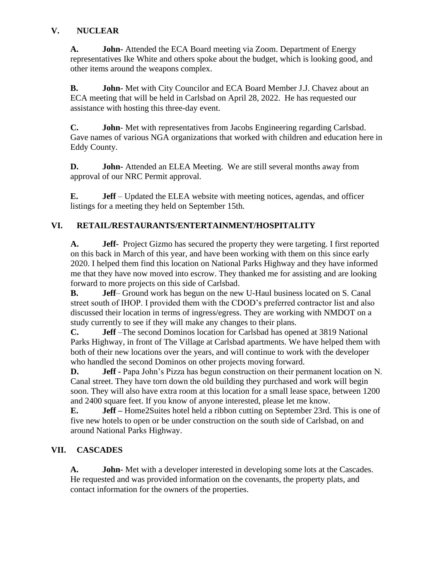## **V. NUCLEAR**

**A. John-** Attended the ECA Board meeting via Zoom. Department of Energy representatives Ike White and others spoke about the budget, which is looking good, and other items around the weapons complex.

**B. John-** Met with City Councilor and ECA Board Member J.J. Chavez about an ECA meeting that will be held in Carlsbad on April 28, 2022. He has requested our assistance with hosting this three-day event.

**C. John**- Met with representatives from Jacobs Engineering regarding Carlsbad. Gave names of various NGA organizations that worked with children and education here in Eddy County.

**D. John-** Attended an ELEA Meeting. We are still several months away from approval of our NRC Permit approval.

**E. Jeff** – Updated the ELEA website with meeting notices, agendas, and officer listings for a meeting they held on September 15th.

## **VI. RETAIL/RESTAURANTS/ENTERTAINMENT/HOSPITALITY**

**A. Jeff-** Project Gizmo has secured the property they were targeting. I first reported on this back in March of this year, and have been working with them on this since early 2020. I helped them find this location on National Parks Highway and they have informed me that they have now moved into escrow. They thanked me for assisting and are looking forward to more projects on this side of Carlsbad.

**B. Jeff**– Ground work has begun on the new U-Haul business located on S. Canal street south of IHOP. I provided them with the CDOD's preferred contractor list and also discussed their location in terms of ingress/egress. They are working with NMDOT on a study currently to see if they will make any changes to their plans.

**C. Jeff** –The second Dominos location for Carlsbad has opened at 3819 National Parks Highway, in front of The Village at Carlsbad apartments. We have helped them with both of their new locations over the years, and will continue to work with the developer who handled the second Dominos on other projects moving forward.

**D. Jeff -** Papa John's Pizza has begun construction on their permanent location on N. Canal street. They have torn down the old building they purchased and work will begin soon. They will also have extra room at this location for a small lease space, between 1200 and 2400 square feet. If you know of anyone interested, please let me know.

**E. Jeff –** Home2Suites hotel held a ribbon cutting on September 23rd. This is one of five new hotels to open or be under construction on the south side of Carlsbad, on and around National Parks Highway.

## **VII. CASCADES**

**A. John-** Met with a developer interested in developing some lots at the Cascades. He requested and was provided information on the covenants, the property plats, and contact information for the owners of the properties.